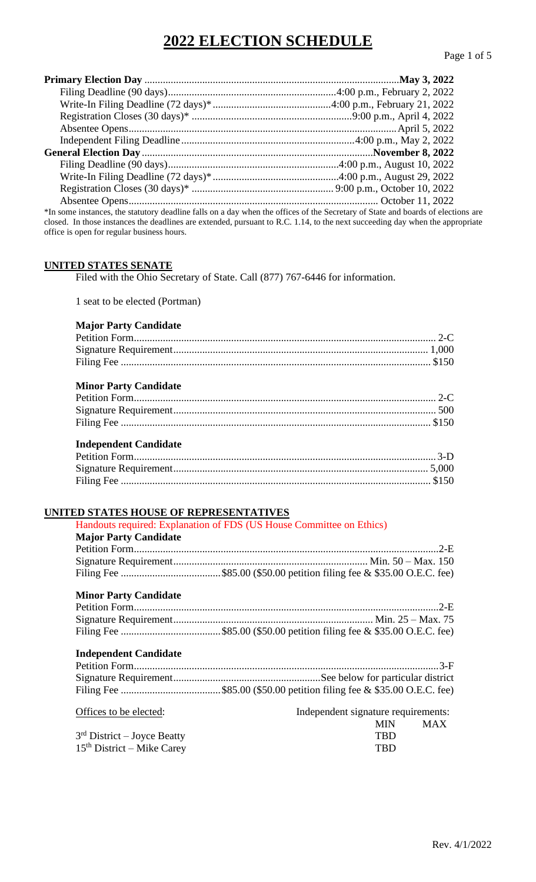| *In some instances, the statutory deadline falls on a day when the offices of the Secretary of State and boards of elections are |  |
|----------------------------------------------------------------------------------------------------------------------------------|--|

closed. In those instances the deadlines are extended, pursuant to R.C. 1.14, to the next succeeding day when the appropriate office is open for regular business hours.

#### **UNITED STATES SENATE**

Filed with the Ohio Secretary of State. Call (877) 767-6446 for information.

1 seat to be elected (Portman)

#### **Major Party Candidate**

#### **Minor Party Candidate**

#### **Independent Candidate**

# **UNITED STATES HOUSE OF REPRESENTATIVES**

|                              | Handouts required: Explanation of FDS (US House Committee on Ethics) |
|------------------------------|----------------------------------------------------------------------|
| <b>Major Party Candidate</b> |                                                                      |
|                              |                                                                      |
|                              |                                                                      |
|                              |                                                                      |
| <b>Minor Party Candidate</b> |                                                                      |

### **Independent Candidate**

| Offices to be elected:        | Independent signature requirements: |  |
|-------------------------------|-------------------------------------|--|
|                               | <b>MIN</b><br>MAX                   |  |
| $3rd$ District – Joyce Beatty | <b>TRD</b>                          |  |
| $15th$ District – Mike Carey  | <b>TRD</b>                          |  |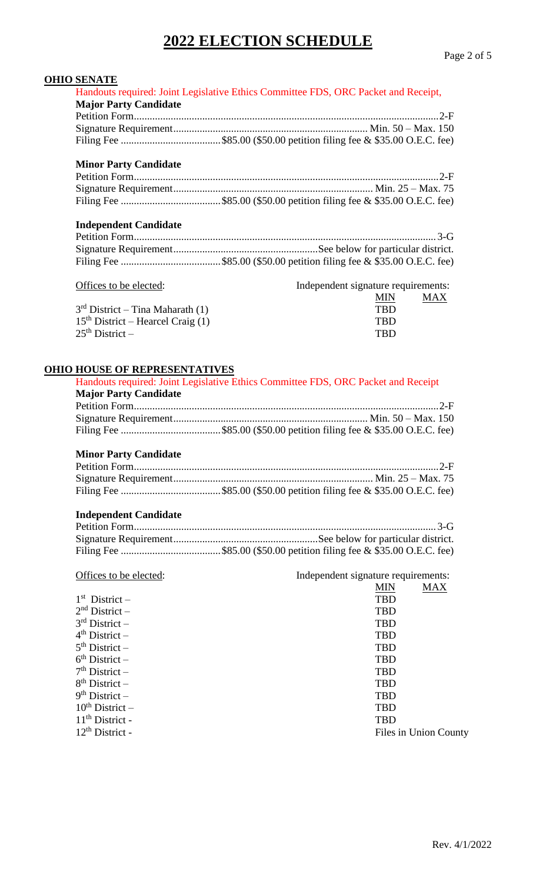#### **OHIO SENATE**

|                              | Handouts required: Joint Legislative Ethics Committee FDS, ORC Packet and Receipt, |
|------------------------------|------------------------------------------------------------------------------------|
| <b>Major Party Candidate</b> |                                                                                    |
|                              |                                                                                    |
|                              |                                                                                    |
|                              |                                                                                    |

#### **Minor Party Candidate**

# **Independent Candidate**

| Offices to be elected:              | Independent signature requirements: |  |
|-------------------------------------|-------------------------------------|--|
|                                     | <b>MIN</b><br><b>MAX</b>            |  |
| $3rd$ District – Tina Maharath (1)  | <b>TRD</b>                          |  |
| $15th$ District – Hearcel Craig (1) | <b>TRD</b>                          |  |
| $25th$ District –                   | <b>TRD</b>                          |  |

#### **OHIO HOUSE OF REPRESENTATIVES**

|                              | Handouts required: Joint Legislative Ethics Committee FDS, ORC Packet and Receipt |
|------------------------------|-----------------------------------------------------------------------------------|
| <b>Major Party Candidate</b> |                                                                                   |
|                              |                                                                                   |
|                              |                                                                                   |
|                              |                                                                                   |

#### **Minor Party Candidate**

#### **Independent Candidate**

| Offices to be elected: | Independent signature requirements: |  |
|------------------------|-------------------------------------|--|
|                        | <b>MIN</b><br><b>MAX</b>            |  |
| $1st$ District –       | <b>TBD</b>                          |  |
| $2nd$ District –       | <b>TBD</b>                          |  |
| $3rd$ District –       | <b>TBD</b>                          |  |
| $4th$ District –       | <b>TBD</b>                          |  |
| $5th$ District –       | <b>TBD</b>                          |  |
| $6th$ District –       | <b>TBD</b>                          |  |
| $7th$ District –       | <b>TBD</b>                          |  |
| $8th$ District –       | <b>TBD</b>                          |  |
| $9th$ District –       | <b>TBD</b>                          |  |
| $10^{th}$ District –   | <b>TBD</b>                          |  |
| $11th$ District -      | <b>TBD</b>                          |  |
| $12th$ District -      | Files in Union County               |  |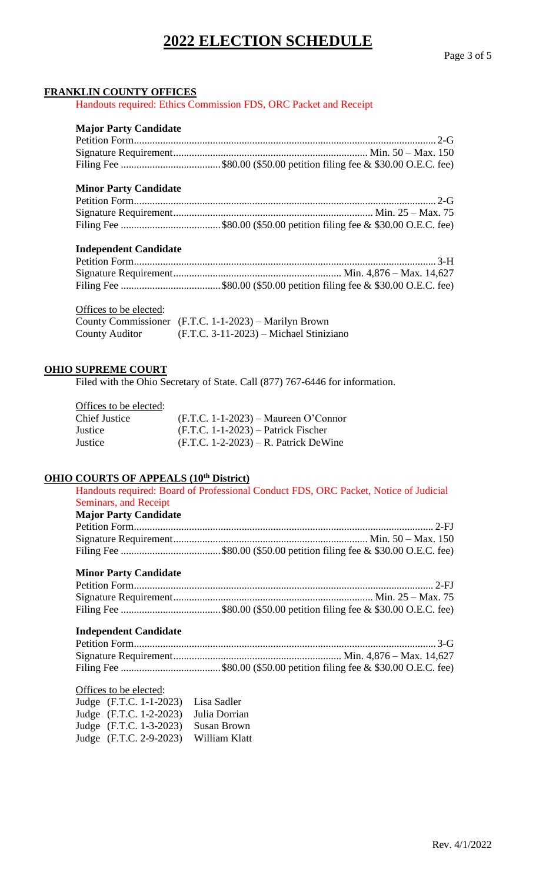#### **FRANKLIN COUNTY OFFICES**

Handouts required: Ethics Commission FDS, ORC Packet and Receipt

#### **Major Party Candidate**

### **Minor Party Candidate**

#### **Independent Candidate**

Offices to be elected:

|                       | County Commissioner (F.T.C. 1-1-2023) – Marilyn Brown |
|-----------------------|-------------------------------------------------------|
| <b>County Auditor</b> | $(F.T.C. 3-11-2023)$ – Michael Stiniziano             |

#### **OHIO SUPREME COURT**

Filed with the Ohio Secretary of State. Call (877) 767-6446 for information.

| $(F.T.C. 1-1-2023)$ – Maureen O'Connor   |
|------------------------------------------|
| $(F.T.C. 1-1-2023)$ – Patrick Fischer    |
| $(F.T.C. 1-2-2023) - R$ . Patrick DeWine |
|                                          |

# **OHIO COURTS OF APPEALS (10th District)**

Handouts required: Board of Professional Conduct FDS, ORC Packet, Notice of Judicial Seminars, and Receipt **Major Party Candidate** Petition Form.................................................................................................................. 2-FJ Signature Requirement.......................................................................... Min. 50 – Max. 150 Filing Fee ......................................\$80.00 (\$50.00 petition filing fee & \$30.00 O.E.C. fee)

# **Minor Party Candidate**

#### **Independent Candidate**

#### Offices to be elected:

| Judge (F.T.C. 1-1-2023) Lisa Sadler |                    |
|-------------------------------------|--------------------|
| Judge $(F.T.C. 1-2-2023)$           | Julia Dorrian      |
| Judge (F.T.C. 1-3-2023)             | <b>Susan Brown</b> |
| Judge (F.T.C. 2-9-2023)             | William Klatt      |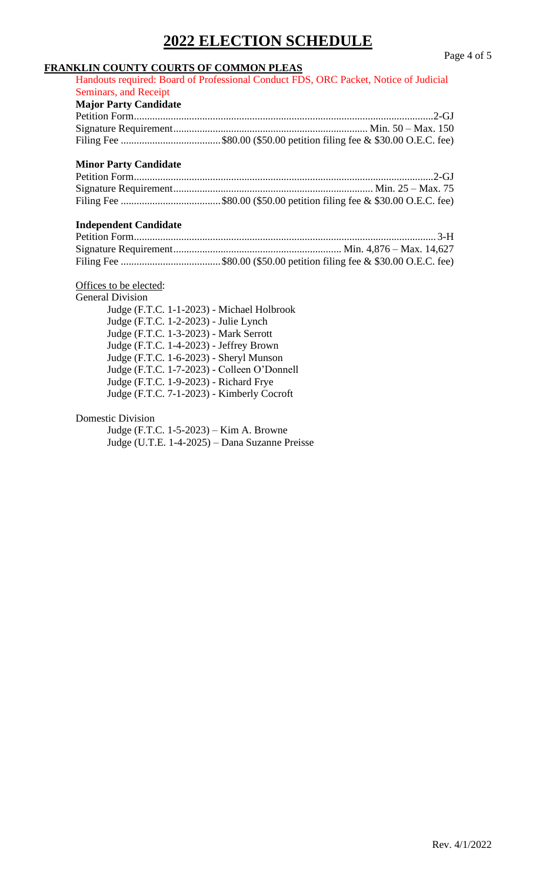#### **FRANKLIN COUNTY COURTS OF COMMON PLEAS**

|                              | Handouts required: Board of Professional Conduct FDS, ORC Packet, Notice of Judicial |
|------------------------------|--------------------------------------------------------------------------------------|
| <b>Seminars, and Receipt</b> |                                                                                      |
| <b>Major Party Candidate</b> |                                                                                      |
|                              |                                                                                      |
|                              |                                                                                      |
|                              |                                                                                      |

#### **Minor Party Candidate**

# **Independent Candidate**

Offices to be elected:

General Division Judge (F.T.C. 1-1-2023) - Michael Holbrook Judge (F.T.C. 1-2-2023) - Julie Lynch Judge (F.T.C. 1-3-2023) - Mark Serrott Judge (F.T.C. 1-4-2023) - Jeffrey Brown Judge (F.T.C. 1-6-2023) - Sheryl Munson Judge (F.T.C. 1-7-2023) - Colleen O'Donnell Judge (F.T.C. 1-9-2023) - Richard Frye Judge (F.T.C. 7-1-2023) - Kimberly Cocroft

Domestic Division

Judge (F.T.C. 1-5-2023) – Kim A. Browne Judge (U.T.E. 1-4-2025) – Dana Suzanne Preisse